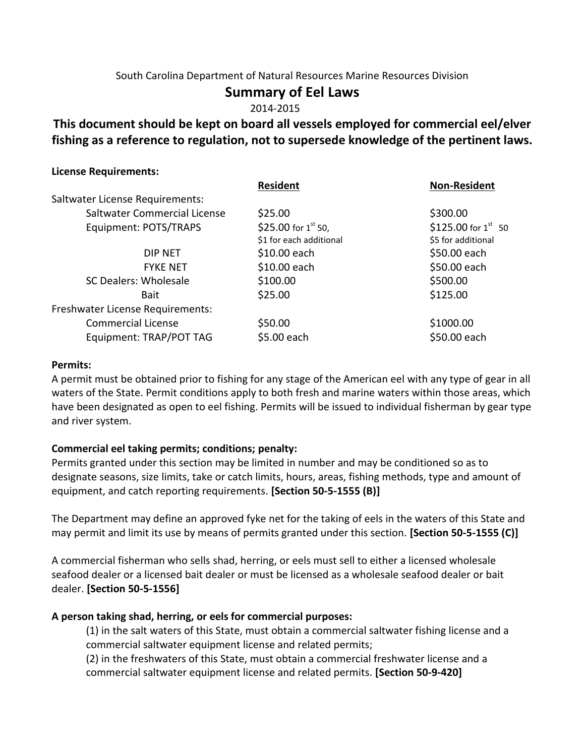## South Carolina Department of Natural Resources Marine Resources Division

# **Summary of Eel Laws**

2014-2015

# **This document should be kept on board all vessels employed for commercial eel/elver fishing as a reference to regulation, not to supersede knowledge of the pertinent laws.**

#### **License Requirements:**

|                                  | <b>Resident</b>          | <b>Non-Resident</b>      |
|----------------------------------|--------------------------|--------------------------|
| Saltwater License Requirements:  |                          |                          |
| Saltwater Commercial License     | \$25.00                  | \$300.00                 |
| Equipment: POTS/TRAPS            | \$25.00 for $1^{st}$ 50, | \$125.00 for $1^{st}$ 50 |
|                                  | \$1 for each additional  | \$5 for additional       |
| DIP NET                          | \$10.00 each             | \$50.00 each             |
| <b>FYKE NET</b>                  | \$10.00 each             | \$50.00 each             |
| SC Dealers: Wholesale            | \$100.00                 | \$500.00                 |
| <b>Bait</b>                      | \$25.00                  | \$125.00                 |
| Freshwater License Requirements: |                          |                          |
| <b>Commercial License</b>        | \$50.00                  | \$1000.00                |
| Equipment: TRAP/POT TAG          | \$5.00 each              | \$50.00 each             |
|                                  |                          |                          |

#### **Permits:**

A permit must be obtained prior to fishing for any stage of the American eel with any type of gear in all waters of the State. Permit conditions apply to both fresh and marine waters within those areas, which have been designated as open to eel fishing. Permits will be issued to individual fisherman by gear type and river system.

#### **Commercial eel taking permits; conditions; penalty:**

Permits granted under this section may be limited in number and may be conditioned so as to designate seasons, size limits, take or catch limits, hours, areas, fishing methods, type and amount of equipment, and catch reporting requirements. **[Section 50-5-1555 (B)]**

The Department may define an approved fyke net for the taking of eels in the waters of this State and may permit and limit its use by means of permits granted under this section. **[Section 50-5-1555 (C)]**

A commercial fisherman who sells shad, herring, or eels must sell to either a licensed wholesale seafood dealer or a licensed bait dealer or must be licensed as a wholesale seafood dealer or bait dealer. **[Section 50-5-1556]**

#### **A person taking shad, herring, or eels for commercial purposes:**

(1) in the salt waters of this State, must obtain a commercial saltwater fishing license and a commercial saltwater equipment license and related permits;

(2) in the freshwaters of this State, must obtain a commercial freshwater license and a commercial saltwater equipment license and related permits. **[Section 50-9-420]**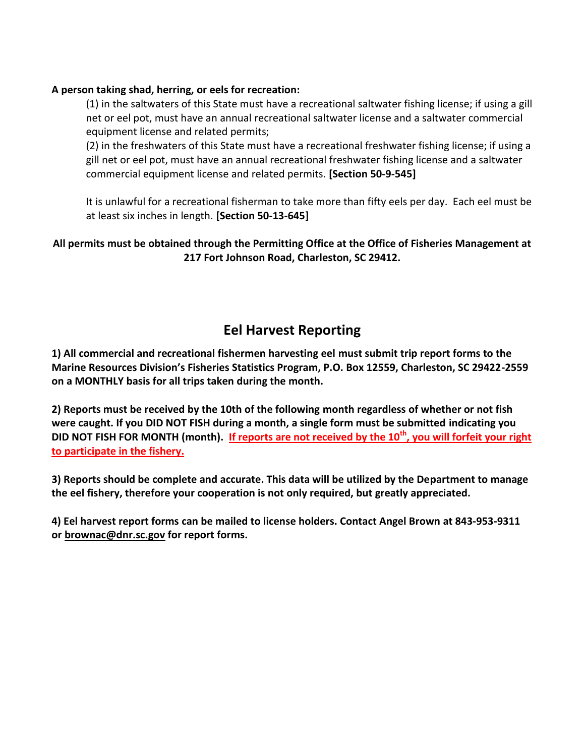### **A person taking shad, herring, or eels for recreation:**

(1) in the saltwaters of this State must have a recreational saltwater fishing license; if using a gill net or eel pot, must have an annual recreational saltwater license and a saltwater commercial equipment license and related permits;

(2) in the freshwaters of this State must have a recreational freshwater fishing license; if using a gill net or eel pot, must have an annual recreational freshwater fishing license and a saltwater commercial equipment license and related permits. **[Section 50-9-545]** 

It is unlawful for a recreational fisherman to take more than fifty eels per day. Each eel must be at least six inches in length. **[Section 50-13-645]**

## **All permits must be obtained through the Permitting Office at the Office of Fisheries Management at 217 Fort Johnson Road, Charleston, SC 29412.**

# **Eel Harvest Reporting**

**1) All commercial and recreational fishermen harvesting eel must submit trip report forms to the Marine Resources Division's Fisheries Statistics Program, P.O. Box 12559, Charleston, SC 29422-2559 on a MONTHLY basis for all trips taken during the month.** 

**2) Reports must be received by the 10th of the following month regardless of whether or not fish were caught. If you DID NOT FISH during a month, a single form must be submitted indicating you DID NOT FISH FOR MONTH (month). If reports are not received by the 10th, you will forfeit your right to participate in the fishery.**

**3) Reports should be complete and accurate. This data will be utilized by the Department to manage the eel fishery, therefore your cooperation is not only required, but greatly appreciated.** 

**4) Eel harvest report forms can be mailed to license holders. Contact Angel Brown at 843-953-9311 or brownac@dnr.sc.gov for report forms.**